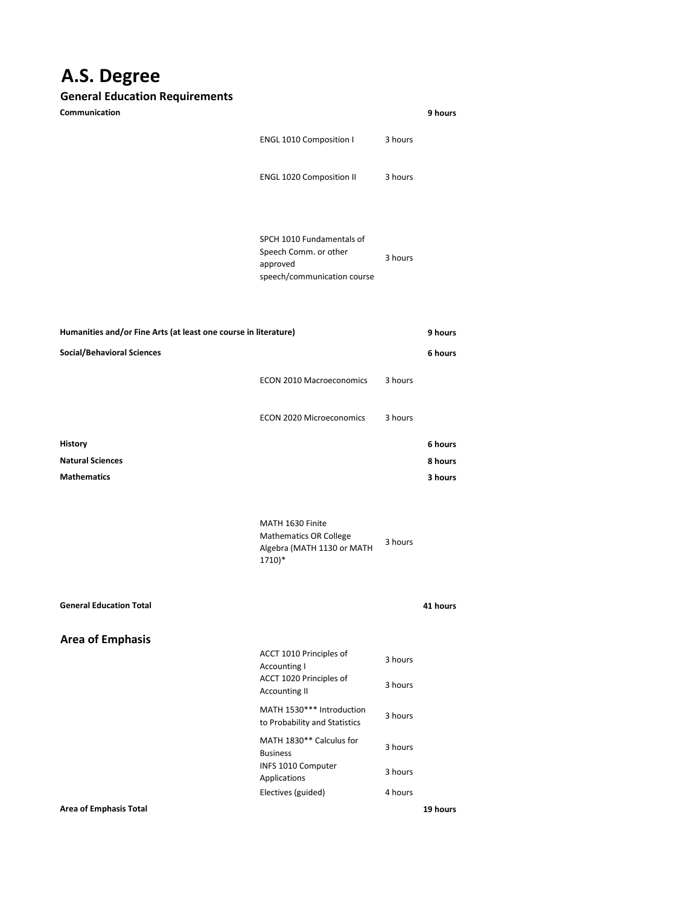## **A.S. Degree**

## **General Education Requirements**

| Communication                                                   |                                                                                               |                    | 9 hours  |
|-----------------------------------------------------------------|-----------------------------------------------------------------------------------------------|--------------------|----------|
|                                                                 | <b>ENGL 1010 Composition I</b>                                                                | 3 hours            |          |
|                                                                 | <b>ENGL 1020 Composition II</b>                                                               | 3 hours            |          |
|                                                                 | SPCH 1010 Fundamentals of<br>Speech Comm. or other<br>approved<br>speech/communication course | 3 hours            |          |
| Humanities and/or Fine Arts (at least one course in literature) |                                                                                               |                    | 9 hours  |
| <b>Social/Behavioral Sciences</b>                               |                                                                                               |                    | 6 hours  |
|                                                                 | <b>ECON 2010 Macroeconomics</b>                                                               | 3 hours            |          |
|                                                                 | <b>ECON 2020 Microeconomics</b>                                                               | 3 hours            |          |
| <b>History</b>                                                  |                                                                                               |                    | 6 hours  |
| <b>Natural Sciences</b>                                         |                                                                                               |                    | 8 hours  |
| <b>Mathematics</b>                                              |                                                                                               |                    | 3 hours  |
|                                                                 | MATH 1630 Finite<br><b>Mathematics OR College</b><br>Algebra (MATH 1130 or MATH<br>1710)*     | 3 hours            |          |
| <b>General Education Total</b>                                  |                                                                                               |                    | 41 hours |
| <b>Area of Emphasis</b>                                         | ACCT 1010 Principles of<br>Accounting I<br>ACCT 1020 Principles of                            | 3 hours<br>3 hours |          |
|                                                                 | <b>Accounting II</b><br>MATH 1530*** Introduction<br>to Probability and Statistics            | 3 hours            |          |
|                                                                 | MATH 1830** Calculus for<br><b>Business</b>                                                   | 3 hours            |          |
|                                                                 | INFS 1010 Computer<br>Applications                                                            | 3 hours            |          |
| <b>Area of Emphasis Total</b>                                   | Electives (guided)                                                                            | 4 hours            | 19 hours |